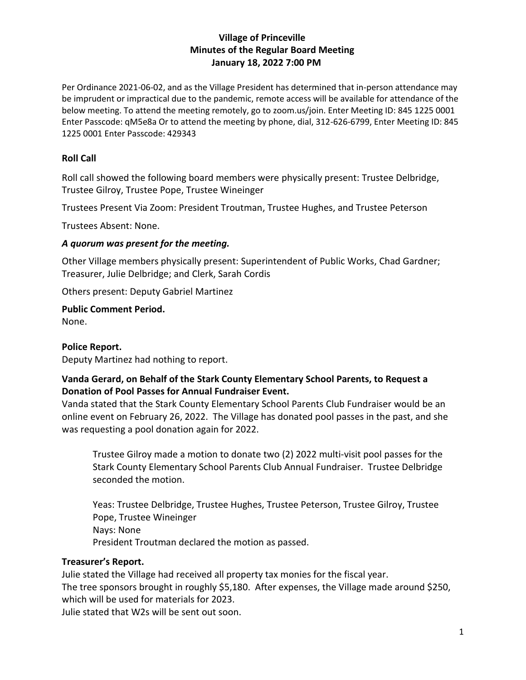# **Village of Princeville Minutes of the Regular Board Meeting January 18, 2022 7:00 PM**

Per Ordinance 2021-06-02, and as the Village President has determined that in-person attendance may be imprudent or impractical due to the pandemic, remote access will be available for attendance of the below meeting. To attend the meeting remotely, go to zoom.us/join. Enter Meeting ID: 845 1225 0001 Enter Passcode: qM5e8a Or to attend the meeting by phone, dial, 312-626-6799, Enter Meeting ID: 845 1225 0001 Enter Passcode: 429343

## **Roll Call**

Roll call showed the following board members were physically present: Trustee Delbridge, Trustee Gilroy, Trustee Pope, Trustee Wineinger

Trustees Present Via Zoom: President Troutman, Trustee Hughes, and Trustee Peterson

Trustees Absent: None.

### *A quorum was present for the meeting.*

Other Village members physically present: Superintendent of Public Works, Chad Gardner; Treasurer, Julie Delbridge; and Clerk, Sarah Cordis

Others present: Deputy Gabriel Martinez

**Public Comment Period.**

None.

### **Police Report.**

Deputy Martinez had nothing to report.

## **Vanda Gerard, on Behalf of the Stark County Elementary School Parents, to Request a Donation of Pool Passes for Annual Fundraiser Event.**

Vanda stated that the Stark County Elementary School Parents Club Fundraiser would be an online event on February 26, 2022. The Village has donated pool passes in the past, and she was requesting a pool donation again for 2022.

Trustee Gilroy made a motion to donate two (2) 2022 multi-visit pool passes for the Stark County Elementary School Parents Club Annual Fundraiser. Trustee Delbridge seconded the motion.

Yeas: Trustee Delbridge, Trustee Hughes, Trustee Peterson, Trustee Gilroy, Trustee Pope, Trustee Wineinger Nays: None President Troutman declared the motion as passed.

### **Treasurer's Report.**

Julie stated the Village had received all property tax monies for the fiscal year. The tree sponsors brought in roughly \$5,180. After expenses, the Village made around \$250, which will be used for materials for 2023.

Julie stated that W2s will be sent out soon.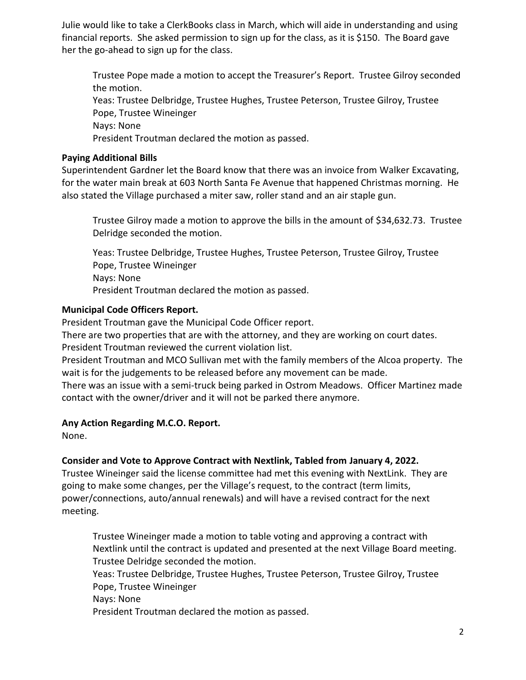Julie would like to take a ClerkBooks class in March, which will aide in understanding and using financial reports. She asked permission to sign up for the class, as it is \$150. The Board gave her the go-ahead to sign up for the class.

Trustee Pope made a motion to accept the Treasurer's Report. Trustee Gilroy seconded the motion. Yeas: Trustee Delbridge, Trustee Hughes, Trustee Peterson, Trustee Gilroy, Trustee Pope, Trustee Wineinger Nays: None President Troutman declared the motion as passed.

# **Paying Additional Bills**

Superintendent Gardner let the Board know that there was an invoice from Walker Excavating, for the water main break at 603 North Santa Fe Avenue that happened Christmas morning. He also stated the Village purchased a miter saw, roller stand and an air staple gun.

Trustee Gilroy made a motion to approve the bills in the amount of \$34,632.73. Trustee Delridge seconded the motion.

Yeas: Trustee Delbridge, Trustee Hughes, Trustee Peterson, Trustee Gilroy, Trustee Pope, Trustee Wineinger Nays: None President Troutman declared the motion as passed.

# **Municipal Code Officers Report.**

President Troutman gave the Municipal Code Officer report.

There are two properties that are with the attorney, and they are working on court dates. President Troutman reviewed the current violation list.

President Troutman and MCO Sullivan met with the family members of the Alcoa property. The wait is for the judgements to be released before any movement can be made.

There was an issue with a semi-truck being parked in Ostrom Meadows. Officer Martinez made contact with the owner/driver and it will not be parked there anymore.

# **Any Action Regarding M.C.O. Report.**

None.

# **Consider and Vote to Approve Contract with Nextlink, Tabled from January 4, 2022.**

Trustee Wineinger said the license committee had met this evening with NextLink. They are going to make some changes, per the Village's request, to the contract (term limits, power/connections, auto/annual renewals) and will have a revised contract for the next meeting.

Trustee Wineinger made a motion to table voting and approving a contract with Nextlink until the contract is updated and presented at the next Village Board meeting. Trustee Delridge seconded the motion.

Yeas: Trustee Delbridge, Trustee Hughes, Trustee Peterson, Trustee Gilroy, Trustee Pope, Trustee Wineinger

Nays: None

President Troutman declared the motion as passed.